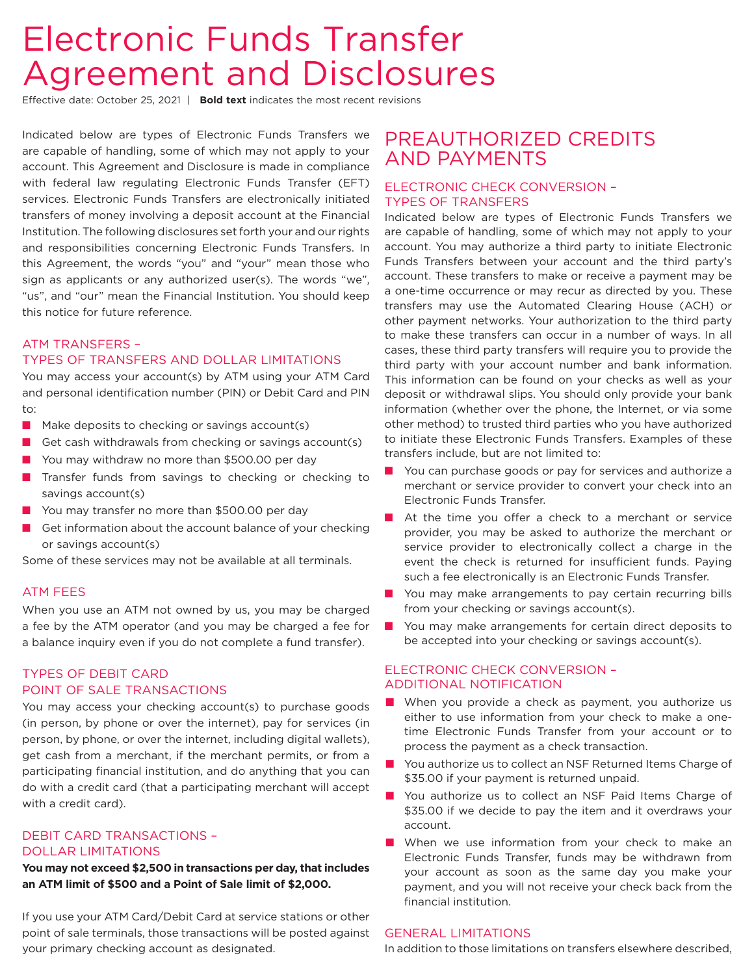Effective date: October 25, 2021 | **Bold text** indicates the most recent revisions

Indicated below are types of Electronic Funds Transfers we are capable of handling, some of which may not apply to your account. This Agreement and Disclosure is made in compliance with federal law regulating Electronic Funds Transfer (EFT) services. Electronic Funds Transfers are electronically initiated transfers of money involving a deposit account at the Financial Institution. The following disclosures set forth your and our rights and responsibilities concerning Electronic Funds Transfers. In this Agreement, the words "you" and "your" mean those who sign as applicants or any authorized user(s). The words "we", "us", and "our" mean the Financial Institution. You should keep this notice for future reference.

# ATM TRANSFERS – TYPES OF TRANSFERS AND DOLLAR LIMITATIONS

You may access your account(s) by ATM using your ATM Card and personal identification number (PIN) or Debit Card and PIN to:

- $\blacksquare$  Make deposits to checking or savings account(s)
- Get cash withdrawals from checking or savings account(s)
- You may withdraw no more than \$500.00 per day
- $\blacksquare$  Transfer funds from savings to checking or checking to savings account(s)
- You may transfer no more than \$500.00 per day
- $\blacksquare$  Get information about the account balance of your checking or savings account(s)

Some of these services may not be available at all terminals.

# ATM FEES

When you use an ATM not owned by us, you may be charged a fee by the ATM operator (and you may be charged a fee for a balance inquiry even if you do not complete a fund transfer).

# TYPES OF DEBIT CARD POINT OF SALE TRANSACTIONS

You may access your checking account(s) to purchase goods (in person, by phone or over the internet), pay for services (in person, by phone, or over the internet, including digital wallets), get cash from a merchant, if the merchant permits, or from a participating financial institution, and do anything that you can do with a credit card (that a participating merchant will accept with a credit card).

# DEBIT CARD TRANSACTIONS – DOLLAR LIMITATIONS

**You may not exceed \$2,500 in transactions per day, that includes an ATM limit of \$500 and a Point of Sale limit of \$2,000.**

If you use your ATM Card/Debit Card at service stations or other point of sale terminals, those transactions will be posted against your primary checking account as designated.

# PREAUTHORIZED CREDITS AND PAYMENTS

# ELECTRONIC CHECK CONVERSION – TYPES OF TRANSFERS

Indicated below are types of Electronic Funds Transfers we are capable of handling, some of which may not apply to your account. You may authorize a third party to initiate Electronic Funds Transfers between your account and the third party's account. These transfers to make or receive a payment may be a one-time occurrence or may recur as directed by you. These transfers may use the Automated Clearing House (ACH) or other payment networks. Your authorization to the third party to make these transfers can occur in a number of ways. In all cases, these third party transfers will require you to provide the third party with your account number and bank information. This information can be found on your checks as well as your deposit or withdrawal slips. You should only provide your bank information (whether over the phone, the Internet, or via some other method) to trusted third parties who you have authorized to initiate these Electronic Funds Transfers. Examples of these transfers include, but are not limited to:

- You can purchase goods or pay for services and authorize a merchant or service provider to convert your check into an Electronic Funds Transfer.
- $\blacksquare$  At the time you offer a check to a merchant or service provider, you may be asked to authorize the merchant or service provider to electronically collect a charge in the event the check is returned for insufficient funds. Paying such a fee electronically is an Electronic Funds Transfer.
- $\blacksquare$  You may make arrangements to pay certain recurring bills from your checking or savings account(s).
- $\blacksquare$  You may make arrangements for certain direct deposits to be accepted into your checking or savings account(s).

# ELECTRONIC CHECK CONVERSION – ADDITIONAL NOTIFICATION

- $\blacksquare$  When you provide a check as payment, you authorize us either to use information from your check to make a onetime Electronic Funds Transfer from your account or to process the payment as a check transaction.
- You authorize us to collect an NSF Returned Items Charge of \$35.00 if your payment is returned unpaid.
- You authorize us to collect an NSF Paid Items Charge of \$35.00 if we decide to pay the item and it overdraws your account.
- $\blacksquare$  When we use information from your check to make an Electronic Funds Transfer, funds may be withdrawn from your account as soon as the same day you make your payment, and you will not receive your check back from the financial institution.

# GENERAL LIMITATIONS

In addition to those limitations on transfers elsewhere described,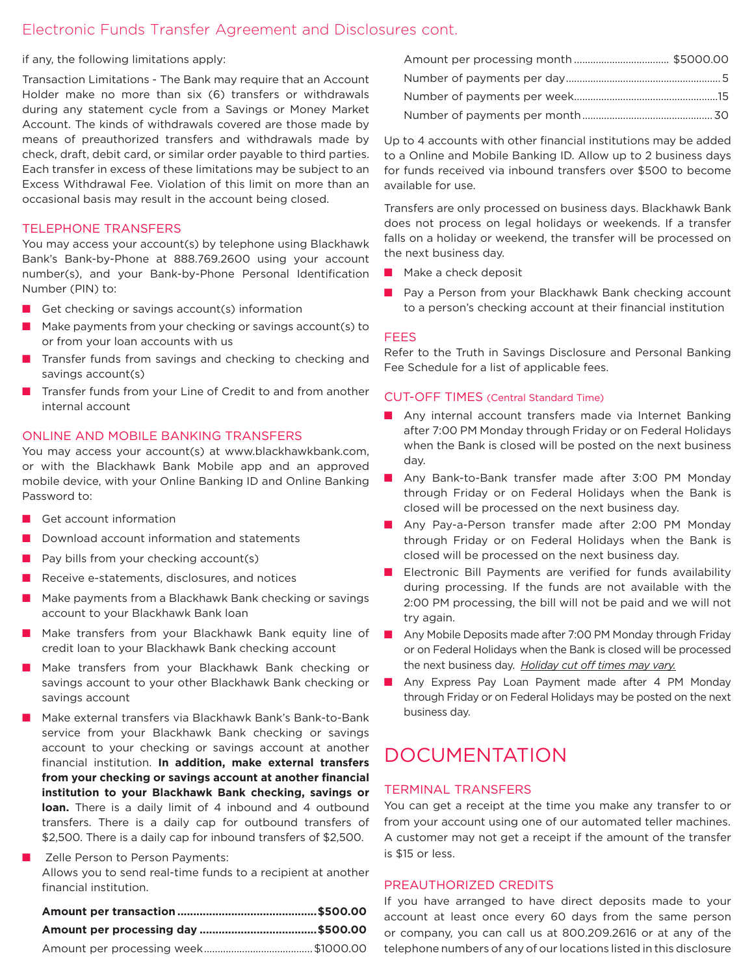if any, the following limitations apply:

Transaction Limitations - The Bank may require that an Account Holder make no more than six (6) transfers or withdrawals during any statement cycle from a Savings or Money Market Account. The kinds of withdrawals covered are those made by means of preauthorized transfers and withdrawals made by check, draft, debit card, or similar order payable to third parties. Each transfer in excess of these limitations may be subject to an Excess Withdrawal Fee. Violation of this limit on more than an occasional basis may result in the account being closed.

#### TELEPHONE TRANSFERS

You may access your account(s) by telephone using Blackhawk Bank's Bank-by-Phone at 888.769.2600 using your account number(s), and your Bank-by-Phone Personal Identification Number (PIN) to:

- $\blacksquare$  Get checking or savings account(s) information
- $\blacksquare$  Make payments from your checking or savings account(s) to or from your loan accounts with us
- $\blacksquare$  Transfer funds from savings and checking to checking and savings account(s)
- **n** Transfer funds from your Line of Credit to and from another internal account

#### ONLINE AND MOBILE BANKING TRANSFERS

You may access your account(s) at www.blackhawkbank.com, or with the Blackhawk Bank Mobile app and an approved mobile device, with your Online Banking ID and Online Banking Password to:

- Get account information
- $\blacksquare$  Download account information and statements
- $\blacksquare$  Pay bills from your checking account(s)
- $\blacksquare$  Receive e-statements, disclosures, and notices
- $\blacksquare$  Make payments from a Blackhawk Bank checking or savings account to your Blackhawk Bank loan
- Make transfers from your Blackhawk Bank equity line of credit loan to your Blackhawk Bank checking account
- Make transfers from your Blackhawk Bank checking or savings account to your other Blackhawk Bank checking or savings account
- n Make external transfers via Blackhawk Bank's Bank-to-Bank service from your Blackhawk Bank checking or savings account to your checking or savings account at another financial institution. **In addition, make external transfers from your checking or savings account at another financial institution to your Blackhawk Bank checking, savings or loan.** There is a daily limit of 4 inbound and 4 outbound transfers. There is a daily cap for outbound transfers of \$2,500. There is a daily cap for inbound transfers of \$2,500.

# Zelle Person to Person Payments: Allows you to send real-time funds to a recipient at another financial institution.

Up to 4 accounts with other financial institutions may be added to a Online and Mobile Banking ID. Allow up to 2 business days for funds received via inbound transfers over \$500 to become available for use.

Transfers are only processed on business days. Blackhawk Bank does not process on legal holidays or weekends. If a transfer falls on a holiday or weekend, the transfer will be processed on the next business day.

- $\blacksquare$  Make a check deposit
- **n** Pay a Person from your Blackhawk Bank checking account to a person's checking account at their financial institution

#### FEES

Refer to the Truth in Savings Disclosure and Personal Banking Fee Schedule for a list of applicable fees.

#### CUT-OFF TIMES (Central Standard Time)

- $\blacksquare$  Any internal account transfers made via Internet Banking after 7:00 PM Monday through Friday or on Federal Holidays when the Bank is closed will be posted on the next business day.
- Any Bank-to-Bank transfer made after 3:00 PM Monday through Friday or on Federal Holidays when the Bank is closed will be processed on the next business day.
- **n** Any Pay-a-Person transfer made after 2:00 PM Monday through Friday or on Federal Holidays when the Bank is closed will be processed on the next business day.
- $\blacksquare$  Electronic Bill Payments are verified for funds availability during processing. If the funds are not available with the 2:00 PM processing, the bill will not be paid and we will not try again.
- **n** Any Mobile Deposits made after 7:00 PM Monday through Friday or on Federal Holidays when the Bank is closed will be processed the next business day. *Holiday cut off times may vary.*
- **n** Any Express Pay Loan Payment made after 4 PM Monday through Friday or on Federal Holidays may be posted on the next business day.

# DOCUMENTATION

#### TERMINAL TRANSFERS

You can get a receipt at the time you make any transfer to or from your account using one of our automated teller machines. A customer may not get a receipt if the amount of the transfer is \$15 or less.

#### PREAUTHORIZED CREDITS

If you have arranged to have direct deposits made to your account at least once every 60 days from the same person or company, you can call us at 800.209.2616 or at any of the telephone numbers of any of our locations listed in this disclosure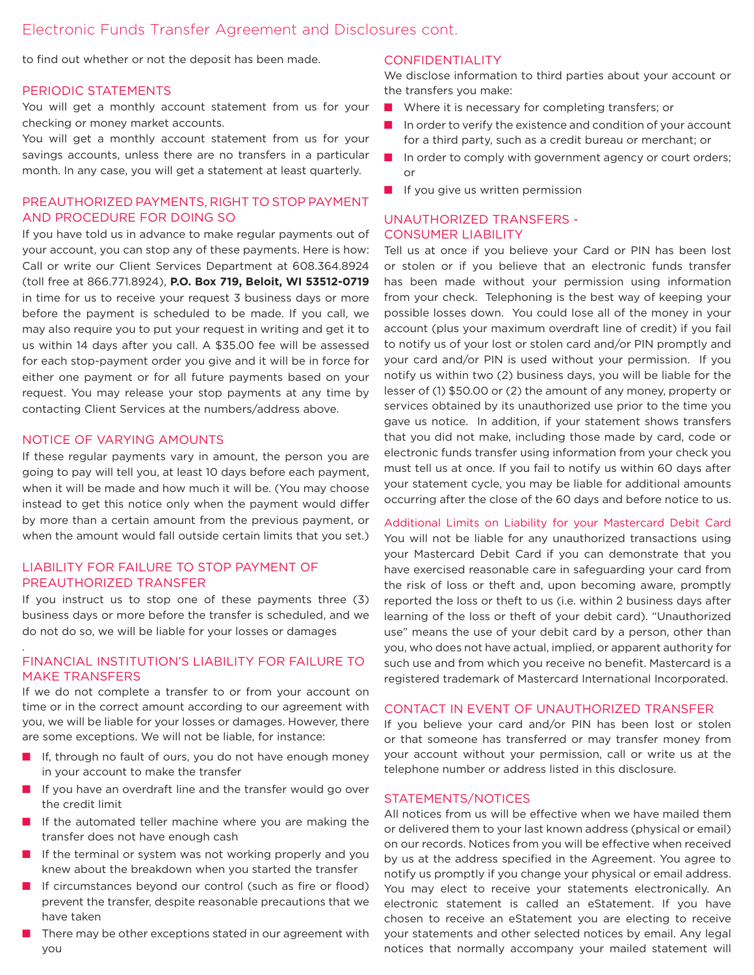to find out whether or not the deposit has been made.

#### PERIODIC STATEMENTS

You will get a monthly account statement from us for your checking or money market accounts.

You will get a monthly account statement from us for your savings accounts, unless there are no transfers in a particular month. In any case, you will get a statement at least quarterly.

# PREAUTHORIZED PAYMENTS, RIGHT TO STOP PAYMENT AND PROCEDURE FOR DOING SO

If you have told us in advance to make regular payments out of your account, you can stop any of these payments. Here is how: Call or write our Client Services Department at 608.364.8924 (toll free at 866.771.8924), **P.O. Box 719, Beloit, WI 53512-0719**  in time for us to receive your request 3 business days or more before the payment is scheduled to be made. If you call, we may also require you to put your request in writing and get it to us within 14 days after you call. A \$35.00 fee will be assessed for each stop-payment order you give and it will be in force for either one payment or for all future payments based on your request. You may release your stop payments at any time by contacting Client Services at the numbers/address above.

#### NOTICE OF VARYING AMOUNTS

.

If these regular payments vary in amount, the person you are going to pay will tell you, at least 10 days before each payment, when it will be made and how much it will be. (You may choose instead to get this notice only when the payment would differ by more than a certain amount from the previous payment, or when the amount would fall outside certain limits that you set.)

# LIABILITY FOR FAILURE TO STOP PAYMENT OF PREAUTHORIZED TRANSFER

If you instruct us to stop one of these payments three (3) business days or more before the transfer is scheduled, and we do not do so, we will be liable for your losses or damages

# FINANCIAL INSTITUTION'S LIABILITY FOR FAILURE TO MAKE TRANSFERS

If we do not complete a transfer to or from your account on time or in the correct amount according to our agreement with you, we will be liable for your losses or damages. However, there are some exceptions. We will not be liable, for instance:

- $\blacksquare$  If, through no fault of ours, you do not have enough money in your account to make the transfer
- $\blacksquare$  If you have an overdraft line and the transfer would go over the credit limit
- $\blacksquare$  If the automated teller machine where you are making the transfer does not have enough cash
- $\blacksquare$  If the terminal or system was not working properly and you knew about the breakdown when you started the transfer
- $\blacksquare$  If circumstances beyond our control (such as fire or flood) prevent the transfer, despite reasonable precautions that we have taken
- There may be other exceptions stated in our agreement with you

#### CONFIDENTIALITY

We disclose information to third parties about your account or the transfers you make:

- $\blacksquare$  Where it is necessary for completing transfers; or
- $\blacksquare$  In order to verify the existence and condition of your account for a third party, such as a credit bureau or merchant; or
- $\blacksquare$  In order to comply with government agency or court orders; or
- $\blacksquare$  If you give us written permission

# UNAUTHORIZED TRANSFERS - CONSUMER LIABILITY

Tell us at once if you believe your Card or PIN has been lost or stolen or if you believe that an electronic funds transfer has been made without your permission using information from your check. Telephoning is the best way of keeping your possible losses down. You could lose all of the money in your account (plus your maximum overdraft line of credit) if you fail to notify us of your lost or stolen card and/or PIN promptly and your card and/or PIN is used without your permission. If you notify us within two (2) business days, you will be liable for the lesser of (1) \$50.00 or (2) the amount of any money, property or services obtained by its unauthorized use prior to the time you gave us notice. In addition, if your statement shows transfers that you did not make, including those made by card, code or electronic funds transfer using information from your check you must tell us at once. If you fail to notify us within 60 days after your statement cycle, you may be liable for additional amounts occurring after the close of the 60 days and before notice to us.

Additional Limits on Liability for your Mastercard Debit Card You will not be liable for any unauthorized transactions using your Mastercard Debit Card if you can demonstrate that you have exercised reasonable care in safeguarding your card from the risk of loss or theft and, upon becoming aware, promptly reported the loss or theft to us (i.e. within 2 business days after learning of the loss or theft of your debit card). "Unauthorized use" means the use of your debit card by a person, other than you, who does not have actual, implied, or apparent authority for such use and from which you receive no benefit. Mastercard is a registered trademark of Mastercard International Incorporated.

#### CONTACT IN EVENT OF UNAUTHORIZED TRANSFER

If you believe your card and/or PIN has been lost or stolen or that someone has transferred or may transfer money from your account without your permission, call or write us at the telephone number or address listed in this disclosure.

#### STATEMENTS/NOTICES

All notices from us will be effective when we have mailed them or delivered them to your last known address (physical or email) on our records. Notices from you will be effective when received by us at the address specified in the Agreement. You agree to notify us promptly if you change your physical or email address. You may elect to receive your statements electronically. An electronic statement is called an eStatement. If you have chosen to receive an eStatement you are electing to receive your statements and other selected notices by email. Any legal notices that normally accompany your mailed statement will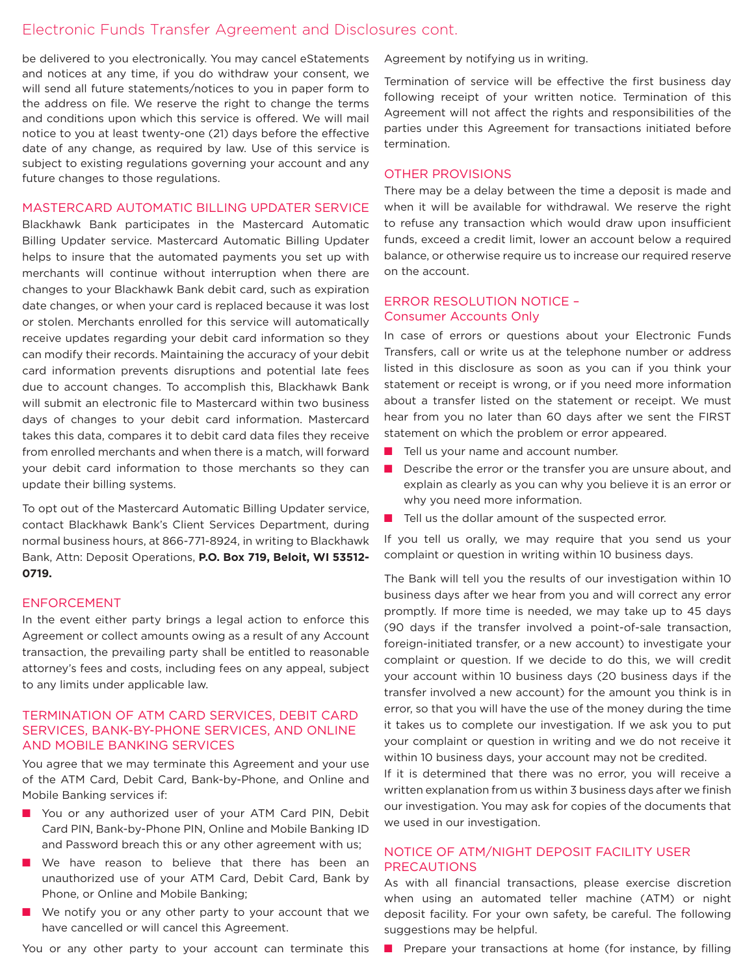be delivered to you electronically. You may cancel eStatements and notices at any time, if you do withdraw your consent, we will send all future statements/notices to you in paper form to the address on file. We reserve the right to change the terms and conditions upon which this service is offered. We will mail notice to you at least twenty-one (21) days before the effective date of any change, as required by law. Use of this service is subject to existing regulations governing your account and any future changes to those regulations.

#### MASTERCARD AUTOMATIC BILLING UPDATER SERVICE

Blackhawk Bank participates in the Mastercard Automatic Billing Updater service. Mastercard Automatic Billing Updater helps to insure that the automated payments you set up with merchants will continue without interruption when there are changes to your Blackhawk Bank debit card, such as expiration date changes, or when your card is replaced because it was lost or stolen. Merchants enrolled for this service will automatically receive updates regarding your debit card information so they can modify their records. Maintaining the accuracy of your debit card information prevents disruptions and potential late fees due to account changes. To accomplish this, Blackhawk Bank will submit an electronic file to Mastercard within two business days of changes to your debit card information. Mastercard takes this data, compares it to debit card data files they receive from enrolled merchants and when there is a match, will forward your debit card information to those merchants so they can update their billing systems.

To opt out of the Mastercard Automatic Billing Updater service, contact Blackhawk Bank's Client Services Department, during normal business hours, at 866-771-8924, in writing to Blackhawk Bank, Attn: Deposit Operations, **P.O. Box 719, Beloit, WI 53512- 0719.**

#### ENFORCEMENT

In the event either party brings a legal action to enforce this Agreement or collect amounts owing as a result of any Account transaction, the prevailing party shall be entitled to reasonable attorney's fees and costs, including fees on any appeal, subject to any limits under applicable law.

### TERMINATION OF ATM CARD SERVICES, DEBIT CARD SERVICES, BANK-BY-PHONE SERVICES, AND ONLINE AND MOBILE BANKING SERVICES

You agree that we may terminate this Agreement and your use of the ATM Card, Debit Card, Bank-by-Phone, and Online and Mobile Banking services if:

- You or any authorized user of your ATM Card PIN, Debit Card PIN, Bank-by-Phone PIN, Online and Mobile Banking ID and Password breach this or any other agreement with us;
- **No** We have reason to believe that there has been an unauthorized use of your ATM Card, Debit Card, Bank by Phone, or Online and Mobile Banking;
- $\blacksquare$  We notify you or any other party to your account that we have cancelled or will cancel this Agreement.

You or any other party to your account can terminate this

Agreement by notifying us in writing.

Termination of service will be effective the first business day following receipt of your written notice. Termination of this Agreement will not affect the rights and responsibilities of the parties under this Agreement for transactions initiated before termination.

#### OTHER PROVISIONS

There may be a delay between the time a deposit is made and when it will be available for withdrawal. We reserve the right to refuse any transaction which would draw upon insufficient funds, exceed a credit limit, lower an account below a required balance, or otherwise require us to increase our required reserve on the account.

#### ERROR RESOLUTION NOTICE – Consumer Accounts Only

In case of errors or questions about your Electronic Funds Transfers, call or write us at the telephone number or address listed in this disclosure as soon as you can if you think your statement or receipt is wrong, or if you need more information about a transfer listed on the statement or receipt. We must hear from you no later than 60 days after we sent the FIRST statement on which the problem or error appeared.

- $\blacksquare$  Tell us your name and account number.
- $\blacksquare$  Describe the error or the transfer you are unsure about, and explain as clearly as you can why you believe it is an error or why you need more information.
- $\blacksquare$  Tell us the dollar amount of the suspected error.

If you tell us orally, we may require that you send us your complaint or question in writing within 10 business days.

The Bank will tell you the results of our investigation within 10 business days after we hear from you and will correct any error promptly. If more time is needed, we may take up to 45 days (90 days if the transfer involved a point-of-sale transaction, foreign-initiated transfer, or a new account) to investigate your complaint or question. If we decide to do this, we will credit your account within 10 business days (20 business days if the transfer involved a new account) for the amount you think is in error, so that you will have the use of the money during the time it takes us to complete our investigation. If we ask you to put your complaint or question in writing and we do not receive it within 10 business days, your account may not be credited. If it is determined that there was no error, you will receive a

written explanation from us within 3 business days after we finish our investigation. You may ask for copies of the documents that we used in our investigation.

# NOTICE OF ATM/NIGHT DEPOSIT FACILITY USER PRECAUTIONS

As with all financial transactions, please exercise discretion when using an automated teller machine (ATM) or night deposit facility. For your own safety, be careful. The following suggestions may be helpful.

**n** Prepare your transactions at home (for instance, by filling